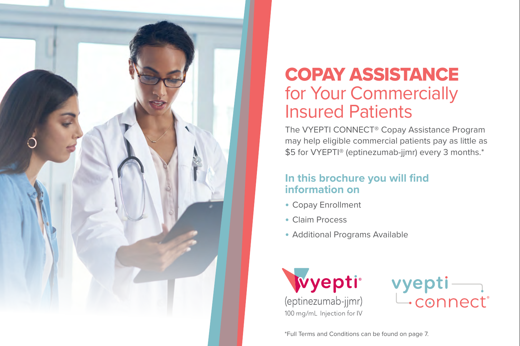

# COPAY ASSISTANCE for Your Commercially Insured Patients

The VYEPTI CONNECT® Copay Assistance Program may help eligible commercial patients pay as little as \$5 for VYEPTI® (eptinezumab-jjmr) every 3 months.\*

#### **In this brochure you will find information on**

- **•** Copay Enrollment
- **•** Claim Process
- **•** Additional Programs Available





\*Full Terms and Conditions can be found on page 7.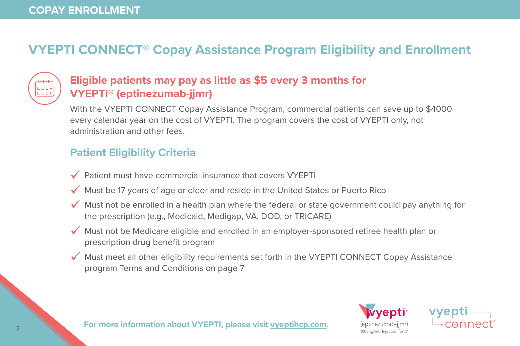## **VYEPTI CONNECT® Copay Assistance Program Eligibility and Enrollment**



### **Eligible patients may pay as little as \$5 every 3 months for VYEPTI® (eptinezumab-jjmr)**

With the VYEPTI CONNECT Copay Assistance Program, commercial patients can save up to \$4000 every calendar year on the cost of VYEPTI. The program covers the cost of VYEPTI only, not administration and other fees.

## **Patient Eligibility Criteria**

- $\sqrt{\ }$  Patient must have commercial insurance that covers VYEPTI
- $\checkmark$  Must be 17 years of age or older and reside in the United States or Puerto Rico
- $\checkmark$  Must not be enrolled in a health plan where the federal or state government could pay anything for the prescription (e.g., Medicaid, Medigap, VA, DOD, or TRICARE)
- $\checkmark$  Must not be Medicare eligible and enrolled in an employer-sponsored retiree health plan or prescription drug benefit program
- $\sqrt{\ }$  Must meet all other eligibility requirements set forth in the VYEPTI CONNECT Copay Assistance program Terms and Conditions on page 7



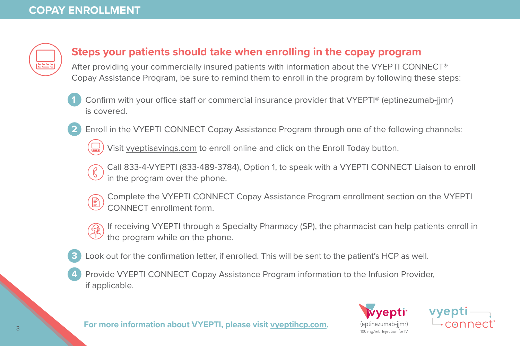

#### **Steps your patients should take when enrolling in the copay program**

After providing your commercially insured patients with information about the VYEPTI CONNECT® Copay Assistance Program, be sure to remind them to enroll in the program by following these steps:

- **1** Confirm with your office staff or commercial insurance provider that VYEPTI® (eptinezumab-jjmr) is covered.
- **2** Enroll in the VYEPTI CONNECT Copay Assistance Program through one of the following channels:

Visit [vyeptisavings.com](https://www.vyepti.com/savings-and-support#copay-assistance-program) to enroll online and click on the Enroll Today button.

Call 833-4-VYEPTI (833-489-3784), Option 1, to speak with a VYEPTI CONNECT Liaison to enroll in the program over the phone.

- Complete the VYEPTI CONNECT Copay Assistance Program enrollment section on the VYEPTI CONNECT enrollment form.
- If receiving VYEPTI through a Specialty Pharmacy (SP), the pharmacist can help patients enroll in the program while on the phone.
- Look out for the confirmation letter, if enrolled. This will be sent to the patient's HCP as well.
- **4** Provide VYEPTI CONNECT Copay Assistance Program information to the Infusion Provider, if applicable.



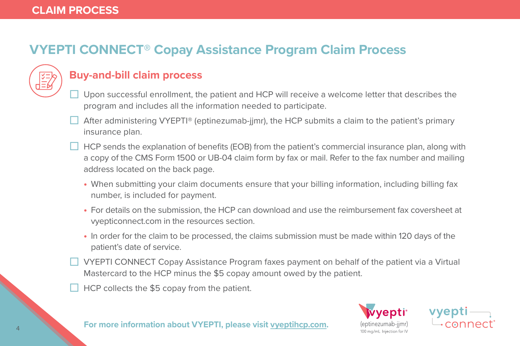# **VYEPTI CONNECT® Copay Assistance Program Claim Process**



#### **Buy-and-bill claim process**

- Upon successful enrollment, the patient and HCP will receive a welcome letter that describes the program and includes all the information needed to participate.
- After administering VYEPTI® (eptinezumab-jjmr), the HCP submits a claim to the patient's primary insurance plan.
- HCP sends the explanation of benefits (EOB) from the patient's commercial insurance plan, along with a copy of the CMS Form 1500 or UB-04 claim form by fax or mail. Refer to the fax number and mailing address located on the back page.
	- **•** When submitting your claim documents ensure that your billing information, including billing fax number, is included for payment.
	- **•** For details on the submission, the HCP can download and use the reimbursement fax coversheet at vyepticonnect.com in the resources section.
	- **•** In order for the claim to be processed, the claims submission must be made within 120 days of the patient's date of service.
- VYEPTI CONNECT Copay Assistance Program faxes payment on behalf of the patient via a Virtual Mastercard to the HCP minus the \$5 copay amount owed by the patient.
- HCP collects the \$5 copay from the patient.

*r*epti° 100 ma/ml Injection for N

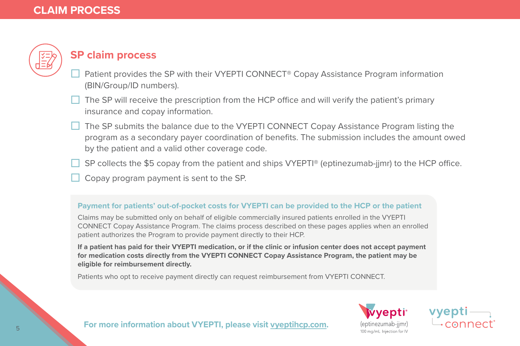

#### **SP claim process**

- Patient provides the SP with their VYEPTI CONNECT® Copay Assistance Program information (BIN/Group/ID numbers).
- The SP will receive the prescription from the HCP office and will verify the patient's primary insurance and copay information.
- The SP submits the balance due to the VYEPTI CONNECT Copay Assistance Program listing the program as a secondary payer coordination of benefits. The submission includes the amount owed by the patient and a valid other coverage code.
- SP collects the \$5 copay from the patient and ships VYEPTI® (eptinezumab-jjmr) to the HCP office.
- Copay program payment is sent to the SP.

#### **Payment for patients' out-of-pocket costs for VYEPTI can be provided to the HCP or the patient**

Claims may be submitted only on behalf of eligible commercially insured patients enrolled in the VYEPTI CONNECT Copay Assistance Program. The claims process described on these pages applies when an enrolled patient authorizes the Program to provide payment directly to their HCP.

**If a patient has paid for their VYEPTI medication, or if the clinic or infusion center does not accept payment for medication costs directly from the VYEPTI CONNECT Copay Assistance Program, the patient may be eligible for reimbursement directly.**

Patients who opt to receive payment directly can request reimbursement from VYEPTI CONNECT.

(eptinezumab-iimr) 100 mg/mL Injection for IV

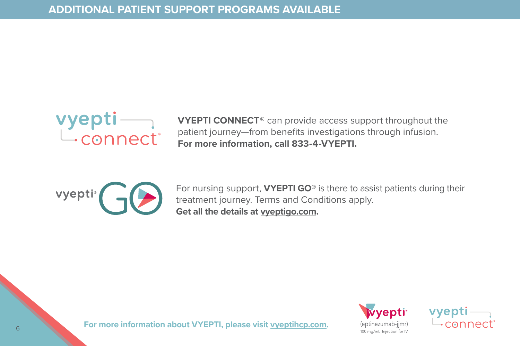

**VYEPTI CONNECT®** can provide access support throughout the patient journey—from benefits investigations through infusion. **For more information, call 833-4-VYEPTI.**



For nursing support, **VYEPTI GO®** is there to assist patients during their treatment journey. Terms and Conditions apply. **Get all the details at [vyeptigo.com](https://www.vyepti.com/savings-and-support#enroll-vyepti-go).** 



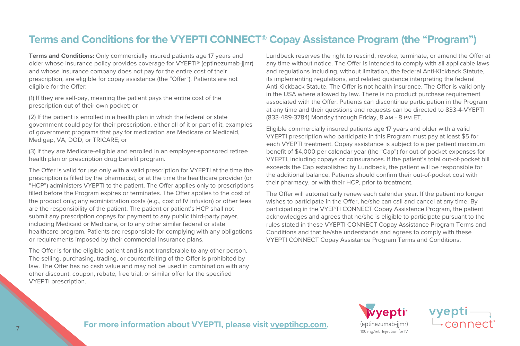#### **Terms and Conditions for the VYEPTI CONNECT® Copay Assistance Program (the "Program")**

**Terms and Conditions:** Only commercially insured patients age 17 years and older whose insurance policy provides coverage for VYEPTI® (eptinezumab-jjmr) and whose insurance company does not pay for the entire cost of their prescription, are eligible for copay assistance (the "Offer"). Patients are not eligible for the Offer:

(1) If they are self-pay, meaning the patient pays the entire cost of the prescription out of their own pocket; or

(2) If the patient is enrolled in a health plan in which the federal or state government could pay for their prescription, either all of it or part of it; examples of government programs that pay for medication are Medicare or Medicaid, Medigap, VA, DOD, or TRICARE; or

(3) If they are Medicare-eligible and enrolled in an employer-sponsored retiree health plan or prescription drug benefit program.

The Offer is valid for use only with a valid prescription for VYEPTI at the time the prescription is filled by the pharmacist, or at the time the healthcare provider (or "HCP") administers VYEPTI to the patient. The Offer applies only to prescriptions filled before the Program expires or terminates. The Offer applies to the cost of the product only; any administration costs (e.g., cost of IV infusion) or other fees are the responsibility of the patient. The patient or patient's HCP shall not submit any prescription copays for payment to any public third-party payer, including Medicaid or Medicare, or to any other similar federal or state healthcare program. Patients are responsible for complying with any obligations or requirements imposed by their commercial insurance plans.

The Offer is for the eligible patient and is not transferable to any other person. The selling, purchasing, trading, or counterfeiting of the Offer is prohibited by law. The Offer has no cash value and may not be used in combination with any other discount, coupon, rebate, free trial, or similar offer for the specified VYEPTI prescription.

Lundbeck reserves the right to rescind, revoke, terminate, or amend the Offer at any time without notice. The Offer is intended to comply with all applicable laws and regulations including, without limitation, the federal Anti-Kickback Statute, its implementing regulations, and related guidance interpreting the federal Anti-Kickback Statute. The Offer is not health insurance. The Offer is valid only in the USA where allowed by law. There is no product purchase requirement associated with the Offer. Patients can discontinue participation in the Program at any time and their questions and requests can be directed to 833-4-VYEPTI (833-489-3784) Monday through Friday, 8 am - 8 pm ET.

Eligible commercially insured patients age 17 years and older with a valid VYEPTI prescription who participate in this Program must pay at least \$5 for each VYEPTI treatment. Copay assistance is subject to a per patient maximum benefit of \$4,000 per calendar year (the "Cap") for out-of-pocket expenses for VYEPTI, including copays or coinsurances. If the patient's total out-of-pocket bill exceeds the Cap established by Lundbeck, the patient will be responsible for the additional balance. Patients should confirm their out-of-pocket cost with their pharmacy, or with their HCP, prior to treatment.

The Offer will automatically renew each calendar year. If the patient no longer wishes to participate in the Offer, he/she can call and cancel at any time. By participating in the VYEPTI CONNECT Copay Assistance Program, the patient acknowledges and agrees that he/she is eligible to participate pursuant to the rules stated in these VYEPTI CONNECT Copay Assistance Program Terms and Conditions and that he/she understands and agrees to comply with these VYEPTI CONNECT Copay Assistance Program Terms and Conditions.

#### <sup>7</sup> **For more information about VYEPTI, please visit [vyeptihcp.com.](https://www.vyeptihcp.com/)**

**Wyepti** (eptinezumab-jjmr) 100 mg/mL Injection for IV